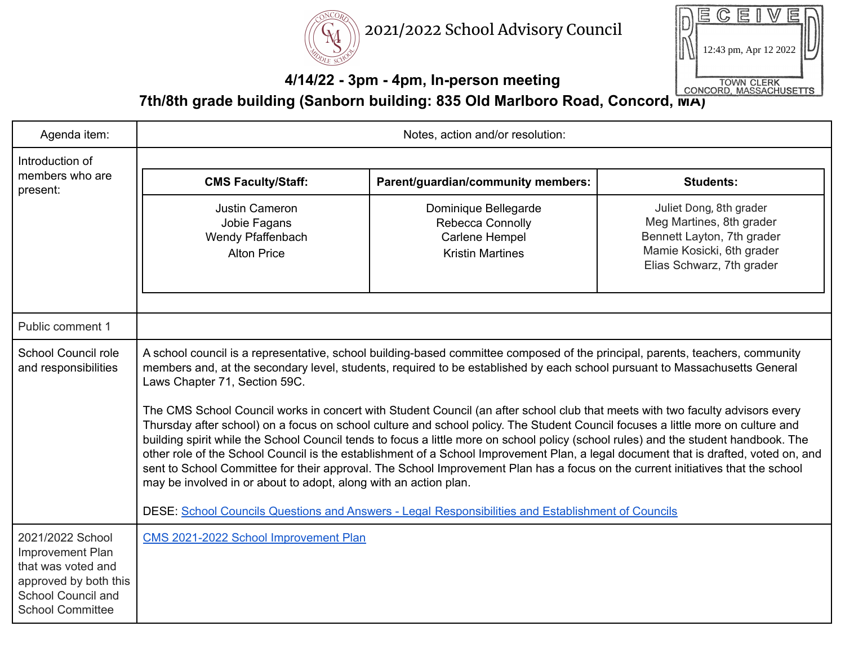



#### **4/14/22 - 3pm - 4pm, In-person meeting**

**7th/8th grade building (Sanborn building: 835 Old Marlboro Road, Concord, MA)**

| Agenda item:                                                                                                                                | Notes, action and/or resolution:                                                                                                                                                                                                                                                                                                                                                                                                                                                                                                                                                                                                                                                                                                                                                                                                                                                                                                                                                                                                                                                                                                                            |                                                                                       |                                                                                                                                             |
|---------------------------------------------------------------------------------------------------------------------------------------------|-------------------------------------------------------------------------------------------------------------------------------------------------------------------------------------------------------------------------------------------------------------------------------------------------------------------------------------------------------------------------------------------------------------------------------------------------------------------------------------------------------------------------------------------------------------------------------------------------------------------------------------------------------------------------------------------------------------------------------------------------------------------------------------------------------------------------------------------------------------------------------------------------------------------------------------------------------------------------------------------------------------------------------------------------------------------------------------------------------------------------------------------------------------|---------------------------------------------------------------------------------------|---------------------------------------------------------------------------------------------------------------------------------------------|
| Introduction of                                                                                                                             |                                                                                                                                                                                                                                                                                                                                                                                                                                                                                                                                                                                                                                                                                                                                                                                                                                                                                                                                                                                                                                                                                                                                                             |                                                                                       |                                                                                                                                             |
| members who are<br>present:                                                                                                                 | <b>CMS Faculty/Staff:</b>                                                                                                                                                                                                                                                                                                                                                                                                                                                                                                                                                                                                                                                                                                                                                                                                                                                                                                                                                                                                                                                                                                                                   | Parent/guardian/community members:                                                    | <b>Students:</b>                                                                                                                            |
|                                                                                                                                             | Justin Cameron<br>Jobie Fagans<br>Wendy Pfaffenbach<br><b>Alton Price</b>                                                                                                                                                                                                                                                                                                                                                                                                                                                                                                                                                                                                                                                                                                                                                                                                                                                                                                                                                                                                                                                                                   | Dominique Bellegarde<br>Rebecca Connolly<br>Carlene Hempel<br><b>Kristin Martines</b> | Juliet Dong, 8th grader<br>Meg Martines, 8th grader<br>Bennett Layton, 7th grader<br>Mamie Kosicki, 6th grader<br>Elias Schwarz, 7th grader |
| Public comment 1                                                                                                                            |                                                                                                                                                                                                                                                                                                                                                                                                                                                                                                                                                                                                                                                                                                                                                                                                                                                                                                                                                                                                                                                                                                                                                             |                                                                                       |                                                                                                                                             |
| School Council role<br>and responsibilities                                                                                                 | A school council is a representative, school building-based committee composed of the principal, parents, teachers, community<br>members and, at the secondary level, students, required to be established by each school pursuant to Massachusetts General<br>Laws Chapter 71, Section 59C.<br>The CMS School Council works in concert with Student Council (an after school club that meets with two faculty advisors every<br>Thursday after school) on a focus on school culture and school policy. The Student Council focuses a little more on culture and<br>building spirit while the School Council tends to focus a little more on school policy (school rules) and the student handbook. The<br>other role of the School Council is the establishment of a School Improvement Plan, a legal document that is drafted, voted on, and<br>sent to School Committee for their approval. The School Improvement Plan has a focus on the current initiatives that the school<br>may be involved in or about to adopt, along with an action plan.<br>DESE: School Councils Questions and Answers - Legal Responsibilities and Establishment of Councils |                                                                                       |                                                                                                                                             |
| 2021/2022 School<br><b>Improvement Plan</b><br>that was voted and<br>approved by both this<br>School Council and<br><b>School Committee</b> | CMS 2021-2022 School Improvement Plan                                                                                                                                                                                                                                                                                                                                                                                                                                                                                                                                                                                                                                                                                                                                                                                                                                                                                                                                                                                                                                                                                                                       |                                                                                       |                                                                                                                                             |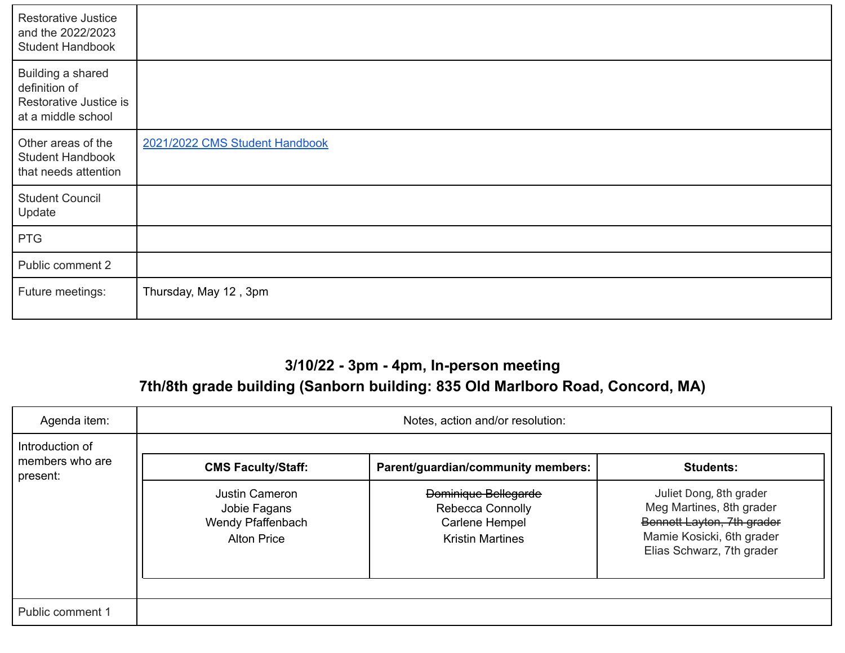| Restorative Justice<br>and the 2022/2023<br><b>Student Handbook</b>                |                                |
|------------------------------------------------------------------------------------|--------------------------------|
| Building a shared<br>definition of<br>Restorative Justice is<br>at a middle school |                                |
| Other areas of the<br><b>Student Handbook</b><br>that needs attention              | 2021/2022 CMS Student Handbook |
| <b>Student Council</b><br>Update                                                   |                                |
| <b>PTG</b>                                                                         |                                |
| Public comment 2                                                                   |                                |
| Future meetings:                                                                   | Thursday, May 12, 3pm          |

## **3/10/22 - 3pm - 4pm, In-person meeting**

## **7th/8th grade building (Sanborn building: 835 Old Marlboro Road, Concord, MA)**

| Agenda item:                                   | Notes, action and/or resolution:                                          |                                                                                                     |                                                                                                                                             |  |
|------------------------------------------------|---------------------------------------------------------------------------|-----------------------------------------------------------------------------------------------------|---------------------------------------------------------------------------------------------------------------------------------------------|--|
| Introduction of<br>members who are<br>present: | <b>CMS Faculty/Staff:</b>                                                 | Parent/guardian/community members:                                                                  |                                                                                                                                             |  |
|                                                | Justin Cameron<br>Jobie Fagans<br>Wendy Pfaffenbach<br><b>Alton Price</b> | <b>Dominique Bellegarde</b><br>Rebecca Connolly<br><b>Carlene Hempel</b><br><b>Kristin Martines</b> | Juliet Dong, 8th grader<br>Meg Martines, 8th grader<br>Bennett Layton, 7th grader<br>Mamie Kosicki, 6th grader<br>Elias Schwarz, 7th grader |  |
| Public comment 1                               |                                                                           |                                                                                                     |                                                                                                                                             |  |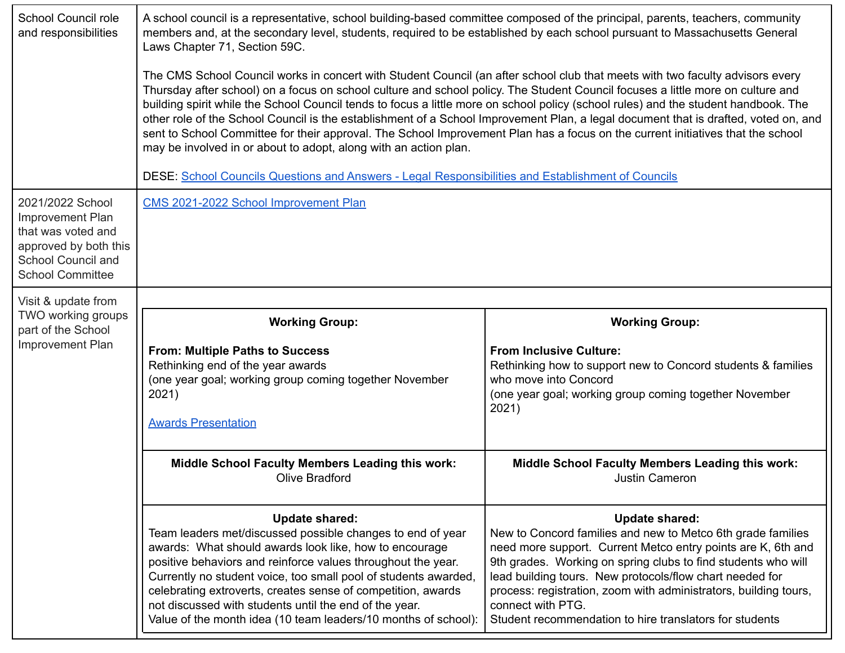| School Council role<br>and responsibilities                                                                                          | A school council is a representative, school building-based committee composed of the principal, parents, teachers, community<br>members and, at the secondary level, students, required to be established by each school pursuant to Massachusetts General<br>Laws Chapter 71, Section 59C.<br>The CMS School Council works in concert with Student Council (an after school club that meets with two faculty advisors every<br>Thursday after school) on a focus on school culture and school policy. The Student Council focuses a little more on culture and<br>building spirit while the School Council tends to focus a little more on school policy (school rules) and the student handbook. The<br>other role of the School Council is the establishment of a School Improvement Plan, a legal document that is drafted, voted on, and<br>sent to School Committee for their approval. The School Improvement Plan has a focus on the current initiatives that the school<br>may be involved in or about to adopt, along with an action plan.<br>DESE: School Councils Questions and Answers - Legal Responsibilities and Establishment of Councils |                                                                                                                                                                                                                                                                                                                                                                                                                                       |  |  |
|--------------------------------------------------------------------------------------------------------------------------------------|-------------------------------------------------------------------------------------------------------------------------------------------------------------------------------------------------------------------------------------------------------------------------------------------------------------------------------------------------------------------------------------------------------------------------------------------------------------------------------------------------------------------------------------------------------------------------------------------------------------------------------------------------------------------------------------------------------------------------------------------------------------------------------------------------------------------------------------------------------------------------------------------------------------------------------------------------------------------------------------------------------------------------------------------------------------------------------------------------------------------------------------------------------------|---------------------------------------------------------------------------------------------------------------------------------------------------------------------------------------------------------------------------------------------------------------------------------------------------------------------------------------------------------------------------------------------------------------------------------------|--|--|
| 2021/2022 School<br>Improvement Plan<br>that was voted and<br>approved by both this<br>School Council and<br><b>School Committee</b> | CMS 2021-2022 School Improvement Plan                                                                                                                                                                                                                                                                                                                                                                                                                                                                                                                                                                                                                                                                                                                                                                                                                                                                                                                                                                                                                                                                                                                       |                                                                                                                                                                                                                                                                                                                                                                                                                                       |  |  |
| Visit & update from                                                                                                                  |                                                                                                                                                                                                                                                                                                                                                                                                                                                                                                                                                                                                                                                                                                                                                                                                                                                                                                                                                                                                                                                                                                                                                             |                                                                                                                                                                                                                                                                                                                                                                                                                                       |  |  |
| TWO working groups<br>part of the School<br>Improvement Plan                                                                         | <b>Working Group:</b><br><b>From: Multiple Paths to Success</b><br>Rethinking end of the year awards<br>(one year goal; working group coming together November<br>2021)<br><b>Awards Presentation</b>                                                                                                                                                                                                                                                                                                                                                                                                                                                                                                                                                                                                                                                                                                                                                                                                                                                                                                                                                       | <b>Working Group:</b><br><b>From Inclusive Culture:</b><br>Rethinking how to support new to Concord students & families<br>who move into Concord<br>(one year goal; working group coming together November<br>2021)                                                                                                                                                                                                                   |  |  |
|                                                                                                                                      | <b>Middle School Faculty Members Leading this work:</b><br>Olive Bradford                                                                                                                                                                                                                                                                                                                                                                                                                                                                                                                                                                                                                                                                                                                                                                                                                                                                                                                                                                                                                                                                                   | <b>Middle School Faculty Members Leading this work:</b><br>Justin Cameron                                                                                                                                                                                                                                                                                                                                                             |  |  |
|                                                                                                                                      | <b>Update shared:</b><br>Team leaders met/discussed possible changes to end of year<br>awards: What should awards look like, how to encourage<br>positive behaviors and reinforce values throughout the year.<br>Currently no student voice, too small pool of students awarded,<br>celebrating extroverts, creates sense of competition, awards<br>not discussed with students until the end of the year.<br>Value of the month idea (10 team leaders/10 months of school):                                                                                                                                                                                                                                                                                                                                                                                                                                                                                                                                                                                                                                                                                | <b>Update shared:</b><br>New to Concord families and new to Metco 6th grade families<br>need more support. Current Metco entry points are K, 6th and<br>9th grades. Working on spring clubs to find students who will<br>lead building tours. New protocols/flow chart needed for<br>process: registration, zoom with administrators, building tours,<br>connect with PTG.<br>Student recommendation to hire translators for students |  |  |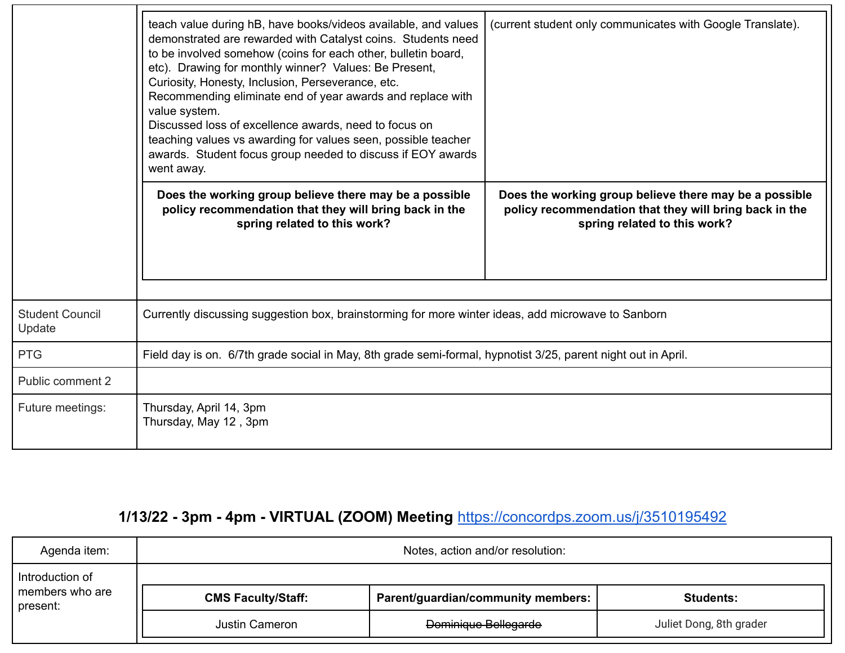|                                  | teach value during hB, have books/videos available, and values<br>demonstrated are rewarded with Catalyst coins. Students need<br>to be involved somehow (coins for each other, bulletin board,<br>etc). Drawing for monthly winner? Values: Be Present,<br>Curiosity, Honesty, Inclusion, Perseverance, etc.<br>Recommending eliminate end of year awards and replace with<br>value system.<br>Discussed loss of excellence awards, need to focus on<br>teaching values vs awarding for values seen, possible teacher<br>awards. Student focus group needed to discuss if EOY awards<br>went away. | (current student only communicates with Google Translate).                                                                                       |  |  |
|----------------------------------|-----------------------------------------------------------------------------------------------------------------------------------------------------------------------------------------------------------------------------------------------------------------------------------------------------------------------------------------------------------------------------------------------------------------------------------------------------------------------------------------------------------------------------------------------------------------------------------------------------|--------------------------------------------------------------------------------------------------------------------------------------------------|--|--|
|                                  | Does the working group believe there may be a possible<br>policy recommendation that they will bring back in the<br>spring related to this work?                                                                                                                                                                                                                                                                                                                                                                                                                                                    | Does the working group believe there may be a possible<br>policy recommendation that they will bring back in the<br>spring related to this work? |  |  |
|                                  |                                                                                                                                                                                                                                                                                                                                                                                                                                                                                                                                                                                                     |                                                                                                                                                  |  |  |
| <b>Student Council</b><br>Update |                                                                                                                                                                                                                                                                                                                                                                                                                                                                                                                                                                                                     | Currently discussing suggestion box, brainstorming for more winter ideas, add microwave to Sanborn                                               |  |  |
| <b>PTG</b>                       | Field day is on. 6/7th grade social in May, 8th grade semi-formal, hypnotist 3/25, parent night out in April.                                                                                                                                                                                                                                                                                                                                                                                                                                                                                       |                                                                                                                                                  |  |  |
| Public comment 2                 |                                                                                                                                                                                                                                                                                                                                                                                                                                                                                                                                                                                                     |                                                                                                                                                  |  |  |
| Future meetings:                 | Thursday, April 14, 3pm<br>Thursday, May 12, 3pm                                                                                                                                                                                                                                                                                                                                                                                                                                                                                                                                                    |                                                                                                                                                  |  |  |

# **1/13/22 - 3pm - 4pm - VIRTUAL (ZOOM) Meeting** <https://concordps.zoom.us/j/3510195492>

| Agenda item:                                             | Notes, action and/or resolution: |                                    |                         |
|----------------------------------------------------------|----------------------------------|------------------------------------|-------------------------|
| Introduction of                                          |                                  |                                    |                         |
| members who are<br><b>CMS Faculty/Staff:</b><br>present: |                                  | Parent/guardian/community members: | <b>Students:</b>        |
|                                                          | Justin Cameron                   | <b>Dominique Bellegarde</b>        | Juliet Dong, 8th grader |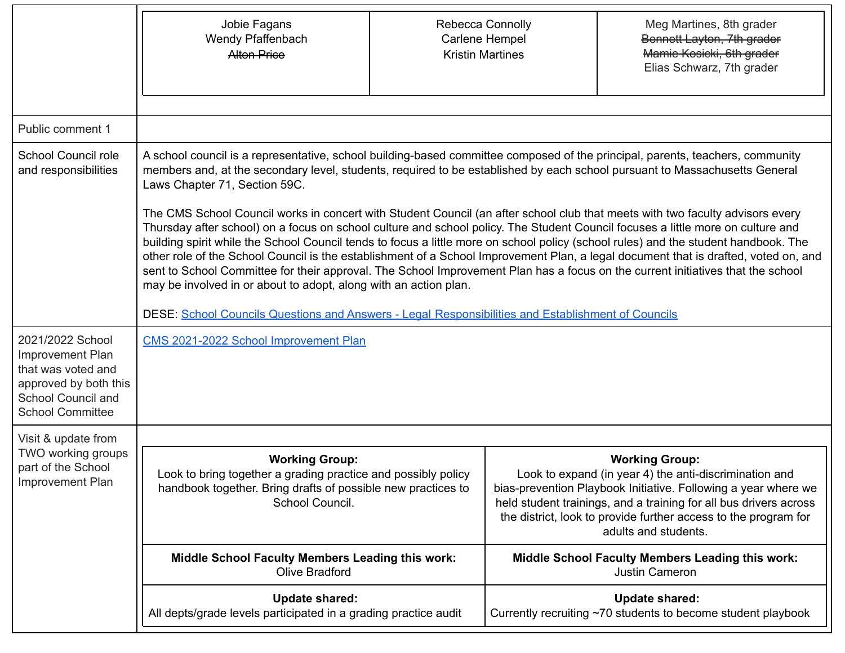|                                                                                                                                             | Jobie Fagans<br>Wendy Pfaffenbach<br><b>Alton Price</b>                                                                                                                                                                                                                                                                                                                                                                                                                                                                                                                                                                                                                                                                                                                                                                                                                                                                                                                                                                                                                                                                                                     | Carlene Hempel<br><b>Kristin Martines</b> | Rebecca Connolly | Meg Martines, 8th grader<br>Bennett Layton, 7th grader<br>Mamie Kosicki, 6th grader<br>Elias Schwarz, 7th grader                                                                                                                                                                                                  |
|---------------------------------------------------------------------------------------------------------------------------------------------|-------------------------------------------------------------------------------------------------------------------------------------------------------------------------------------------------------------------------------------------------------------------------------------------------------------------------------------------------------------------------------------------------------------------------------------------------------------------------------------------------------------------------------------------------------------------------------------------------------------------------------------------------------------------------------------------------------------------------------------------------------------------------------------------------------------------------------------------------------------------------------------------------------------------------------------------------------------------------------------------------------------------------------------------------------------------------------------------------------------------------------------------------------------|-------------------------------------------|------------------|-------------------------------------------------------------------------------------------------------------------------------------------------------------------------------------------------------------------------------------------------------------------------------------------------------------------|
| Public comment 1                                                                                                                            |                                                                                                                                                                                                                                                                                                                                                                                                                                                                                                                                                                                                                                                                                                                                                                                                                                                                                                                                                                                                                                                                                                                                                             |                                           |                  |                                                                                                                                                                                                                                                                                                                   |
| School Council role<br>and responsibilities                                                                                                 | A school council is a representative, school building-based committee composed of the principal, parents, teachers, community<br>members and, at the secondary level, students, required to be established by each school pursuant to Massachusetts General<br>Laws Chapter 71, Section 59C.<br>The CMS School Council works in concert with Student Council (an after school club that meets with two faculty advisors every<br>Thursday after school) on a focus on school culture and school policy. The Student Council focuses a little more on culture and<br>building spirit while the School Council tends to focus a little more on school policy (school rules) and the student handbook. The<br>other role of the School Council is the establishment of a School Improvement Plan, a legal document that is drafted, voted on, and<br>sent to School Committee for their approval. The School Improvement Plan has a focus on the current initiatives that the school<br>may be involved in or about to adopt, along with an action plan.<br>DESE: School Councils Questions and Answers - Legal Responsibilities and Establishment of Councils |                                           |                  |                                                                                                                                                                                                                                                                                                                   |
| 2021/2022 School<br><b>Improvement Plan</b><br>that was voted and<br>approved by both this<br>School Council and<br><b>School Committee</b> | CMS 2021-2022 School Improvement Plan                                                                                                                                                                                                                                                                                                                                                                                                                                                                                                                                                                                                                                                                                                                                                                                                                                                                                                                                                                                                                                                                                                                       |                                           |                  |                                                                                                                                                                                                                                                                                                                   |
| Visit & update from<br>TWO working groups<br>part of the School<br><b>Improvement Plan</b>                                                  | <b>Working Group:</b><br>Look to bring together a grading practice and possibly policy<br>handbook together. Bring drafts of possible new practices to<br>School Council.                                                                                                                                                                                                                                                                                                                                                                                                                                                                                                                                                                                                                                                                                                                                                                                                                                                                                                                                                                                   |                                           |                  | <b>Working Group:</b><br>Look to expand (in year 4) the anti-discrimination and<br>bias-prevention Playbook Initiative. Following a year where we<br>held student trainings, and a training for all bus drivers across<br>the district, look to provide further access to the program for<br>adults and students. |
|                                                                                                                                             | <b>Middle School Faculty Members Leading this work:</b><br>Olive Bradford                                                                                                                                                                                                                                                                                                                                                                                                                                                                                                                                                                                                                                                                                                                                                                                                                                                                                                                                                                                                                                                                                   |                                           |                  | Middle School Faculty Members Leading this work:<br>Justin Cameron                                                                                                                                                                                                                                                |
|                                                                                                                                             | <b>Update shared:</b><br>All depts/grade levels participated in a grading practice audit                                                                                                                                                                                                                                                                                                                                                                                                                                                                                                                                                                                                                                                                                                                                                                                                                                                                                                                                                                                                                                                                    |                                           |                  | <b>Update shared:</b><br>Currently recruiting ~70 students to become student playbook                                                                                                                                                                                                                             |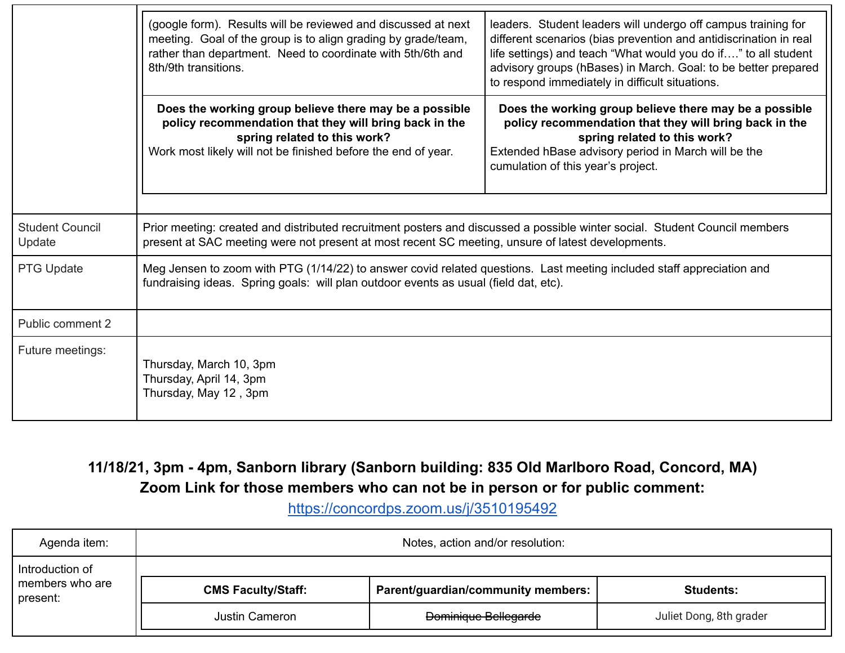|                                  | (google form). Results will be reviewed and discussed at next<br>meeting. Goal of the group is to align grading by grade/team,<br>rather than department. Need to coordinate with 5th/6th and<br>8th/9th transitions.           | leaders. Student leaders will undergo off campus training for<br>different scenarios (bias prevention and antidiscrination in real<br>life settings) and teach "What would you do if" to all student<br>advisory groups (hBases) in March. Goal: to be better prepared<br>to respond immediately in difficult situations. |  |
|----------------------------------|---------------------------------------------------------------------------------------------------------------------------------------------------------------------------------------------------------------------------------|---------------------------------------------------------------------------------------------------------------------------------------------------------------------------------------------------------------------------------------------------------------------------------------------------------------------------|--|
|                                  | Does the working group believe there may be a possible<br>policy recommendation that they will bring back in the<br>spring related to this work?<br>Work most likely will not be finished before the end of year.               | Does the working group believe there may be a possible<br>policy recommendation that they will bring back in the<br>spring related to this work?<br>Extended hBase advisory period in March will be the<br>cumulation of this year's project.                                                                             |  |
| <b>Student Council</b><br>Update | Prior meeting: created and distributed recruitment posters and discussed a possible winter social. Student Council members<br>present at SAC meeting were not present at most recent SC meeting, unsure of latest developments. |                                                                                                                                                                                                                                                                                                                           |  |
| PTG Update                       | Meg Jensen to zoom with PTG (1/14/22) to answer covid related questions. Last meeting included staff appreciation and<br>fundraising ideas. Spring goals: will plan outdoor events as usual (field dat, etc).                   |                                                                                                                                                                                                                                                                                                                           |  |
| Public comment 2                 |                                                                                                                                                                                                                                 |                                                                                                                                                                                                                                                                                                                           |  |
| Future meetings:                 | Thursday, March 10, 3pm<br>Thursday, April 14, 3pm<br>Thursday, May 12, 3pm                                                                                                                                                     |                                                                                                                                                                                                                                                                                                                           |  |

#### **11/18/21, 3pm - 4pm, Sanborn library (Sanborn building: 835 Old Marlboro Road, Concord, MA) Zoom Link for those members who can not be in person or for public comment:**

<https://concordps.zoom.us/j/3510195492>

| Agenda item:                                             | Notes, action and/or resolution: |                                    |                         |
|----------------------------------------------------------|----------------------------------|------------------------------------|-------------------------|
| Introduction of                                          |                                  |                                    |                         |
| members who are<br><b>CMS Faculty/Staff:</b><br>present: |                                  | Parent/guardian/community members: | <b>Students:</b>        |
|                                                          | Justin Cameron                   | <b>Dominique Bellegarde</b>        | Juliet Dong, 8th grader |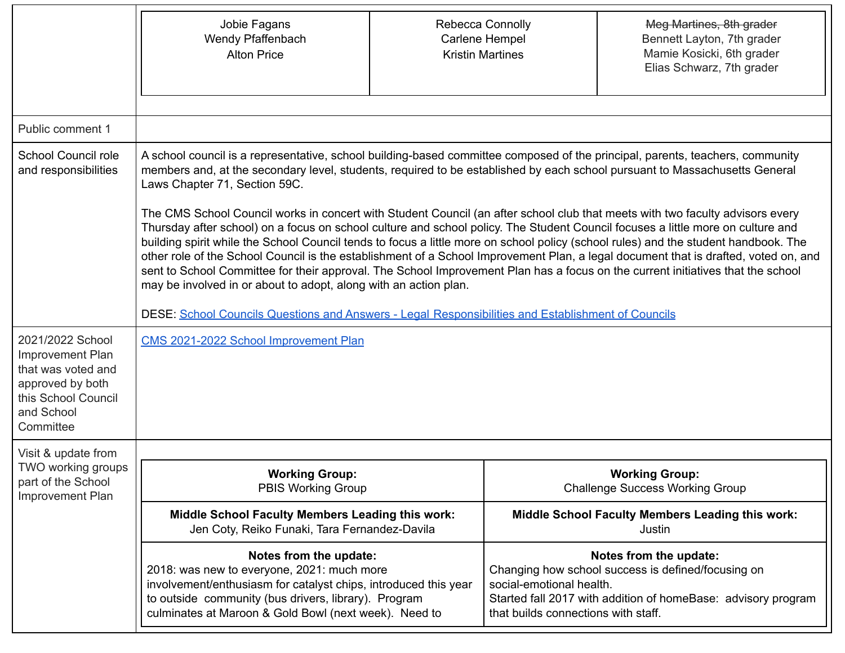|                                                                                                                                  | Jobie Fagans<br>Wendy Pfaffenbach<br><b>Alton Price</b>                                                                                                                                                                                                                                                                                                                                                                                                                                                                                                                                                                                                                                                                                                                                                                                                                                                                                                                                                                                                                                                                                                     | Rebecca Connolly<br>Carlene Hempel<br><b>Kristin Martines</b> |                                                                 | Meg Martines, 8th grader<br>Bennett Layton, 7th grader<br>Mamie Kosicki, 6th grader<br>Elias Schwarz, 7th grader                              |  |  |
|----------------------------------------------------------------------------------------------------------------------------------|-------------------------------------------------------------------------------------------------------------------------------------------------------------------------------------------------------------------------------------------------------------------------------------------------------------------------------------------------------------------------------------------------------------------------------------------------------------------------------------------------------------------------------------------------------------------------------------------------------------------------------------------------------------------------------------------------------------------------------------------------------------------------------------------------------------------------------------------------------------------------------------------------------------------------------------------------------------------------------------------------------------------------------------------------------------------------------------------------------------------------------------------------------------|---------------------------------------------------------------|-----------------------------------------------------------------|-----------------------------------------------------------------------------------------------------------------------------------------------|--|--|
| Public comment 1                                                                                                                 |                                                                                                                                                                                                                                                                                                                                                                                                                                                                                                                                                                                                                                                                                                                                                                                                                                                                                                                                                                                                                                                                                                                                                             |                                                               |                                                                 |                                                                                                                                               |  |  |
| School Council role<br>and responsibilities                                                                                      | A school council is a representative, school building-based committee composed of the principal, parents, teachers, community<br>members and, at the secondary level, students, required to be established by each school pursuant to Massachusetts General<br>Laws Chapter 71, Section 59C.<br>The CMS School Council works in concert with Student Council (an after school club that meets with two faculty advisors every<br>Thursday after school) on a focus on school culture and school policy. The Student Council focuses a little more on culture and<br>building spirit while the School Council tends to focus a little more on school policy (school rules) and the student handbook. The<br>other role of the School Council is the establishment of a School Improvement Plan, a legal document that is drafted, voted on, and<br>sent to School Committee for their approval. The School Improvement Plan has a focus on the current initiatives that the school<br>may be involved in or about to adopt, along with an action plan.<br>DESE: School Councils Questions and Answers - Legal Responsibilities and Establishment of Councils |                                                               |                                                                 |                                                                                                                                               |  |  |
| 2021/2022 School<br>Improvement Plan<br>that was voted and<br>approved by both<br>this School Council<br>and School<br>Committee | CMS 2021-2022 School Improvement Plan                                                                                                                                                                                                                                                                                                                                                                                                                                                                                                                                                                                                                                                                                                                                                                                                                                                                                                                                                                                                                                                                                                                       |                                                               |                                                                 |                                                                                                                                               |  |  |
| Visit & update from                                                                                                              |                                                                                                                                                                                                                                                                                                                                                                                                                                                                                                                                                                                                                                                                                                                                                                                                                                                                                                                                                                                                                                                                                                                                                             |                                                               |                                                                 |                                                                                                                                               |  |  |
| TWO working groups<br>part of the School<br><b>Improvement Plan</b>                                                              | <b>Working Group:</b><br><b>PBIS Working Group</b>                                                                                                                                                                                                                                                                                                                                                                                                                                                                                                                                                                                                                                                                                                                                                                                                                                                                                                                                                                                                                                                                                                          |                                                               |                                                                 | <b>Working Group:</b><br><b>Challenge Success Working Group</b>                                                                               |  |  |
|                                                                                                                                  | <b>Middle School Faculty Members Leading this work:</b><br><b>Middle School Faculty Members Leading this work:</b><br>Jen Coty, Reiko Funaki, Tara Fernandez-Davila<br>Justin                                                                                                                                                                                                                                                                                                                                                                                                                                                                                                                                                                                                                                                                                                                                                                                                                                                                                                                                                                               |                                                               |                                                                 |                                                                                                                                               |  |  |
|                                                                                                                                  | Notes from the update:<br>2018: was new to everyone, 2021: much more<br>involvement/enthusiasm for catalyst chips, introduced this year<br>to outside community (bus drivers, library). Program<br>culminates at Maroon & Gold Bowl (next week). Need to                                                                                                                                                                                                                                                                                                                                                                                                                                                                                                                                                                                                                                                                                                                                                                                                                                                                                                    |                                                               | social-emotional health.<br>that builds connections with staff. | Notes from the update:<br>Changing how school success is defined/focusing on<br>Started fall 2017 with addition of homeBase: advisory program |  |  |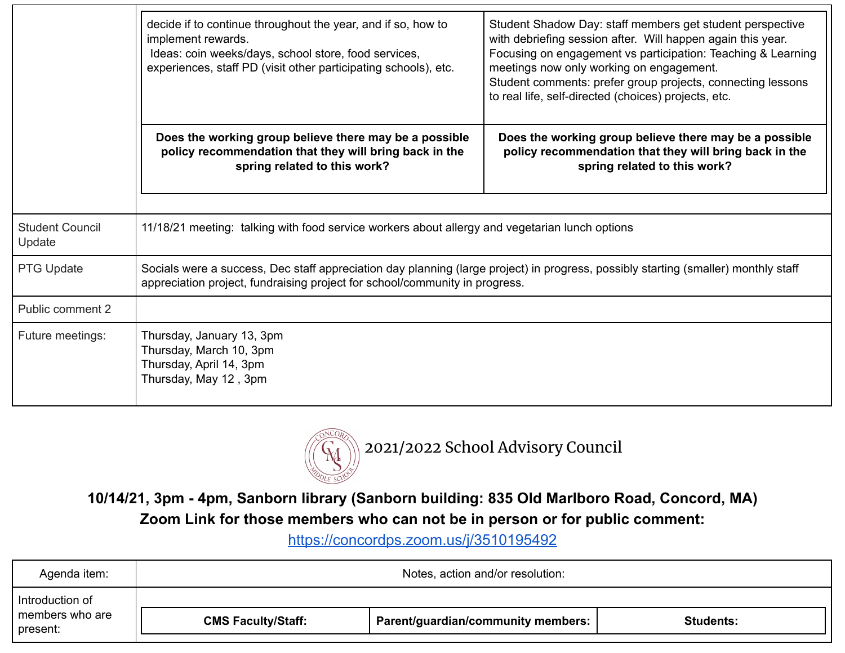|                                  | decide if to continue throughout the year, and if so, how to<br>implement rewards.<br>Ideas: coin weeks/days, school store, food services,<br>experiences, staff PD (visit other participating schools), etc.     | Student Shadow Day: staff members get student perspective<br>with debriefing session after. Will happen again this year.<br>Focusing on engagement vs participation: Teaching & Learning<br>meetings now only working on engagement.<br>Student comments: prefer group projects, connecting lessons<br>to real life, self-directed (choices) projects, etc. |  |
|----------------------------------|-------------------------------------------------------------------------------------------------------------------------------------------------------------------------------------------------------------------|-------------------------------------------------------------------------------------------------------------------------------------------------------------------------------------------------------------------------------------------------------------------------------------------------------------------------------------------------------------|--|
|                                  | Does the working group believe there may be a possible<br>policy recommendation that they will bring back in the<br>spring related to this work?                                                                  | Does the working group believe there may be a possible<br>policy recommendation that they will bring back in the<br>spring related to this work?                                                                                                                                                                                                            |  |
| <b>Student Council</b><br>Update | 11/18/21 meeting: talking with food service workers about allergy and vegetarian lunch options                                                                                                                    |                                                                                                                                                                                                                                                                                                                                                             |  |
| PTG Update                       | Socials were a success, Dec staff appreciation day planning (large project) in progress, possibly starting (smaller) monthly staff<br>appreciation project, fundraising project for school/community in progress. |                                                                                                                                                                                                                                                                                                                                                             |  |
| Public comment 2                 |                                                                                                                                                                                                                   |                                                                                                                                                                                                                                                                                                                                                             |  |
| Future meetings:                 | Thursday, January 13, 3pm<br>Thursday, March 10, 3pm<br>Thursday, April 14, 3pm<br>Thursday, May 12, 3pm                                                                                                          |                                                                                                                                                                                                                                                                                                                                                             |  |



**10/14/21, 3pm - 4pm, Sanborn library (Sanborn building: 835 Old Marlboro Road, Concord, MA) Zoom Link for those members who can not be in person or for public comment:**

<https://concordps.zoom.us/j/3510195492>

| Agenda item:                | Notes, action and/or resolution: |                                    |                  |
|-----------------------------|----------------------------------|------------------------------------|------------------|
| Introduction of             |                                  |                                    |                  |
| members who are<br>present: | <b>CMS Faculty/Staff:</b>        | Parent/guardian/community members: | <b>Students:</b> |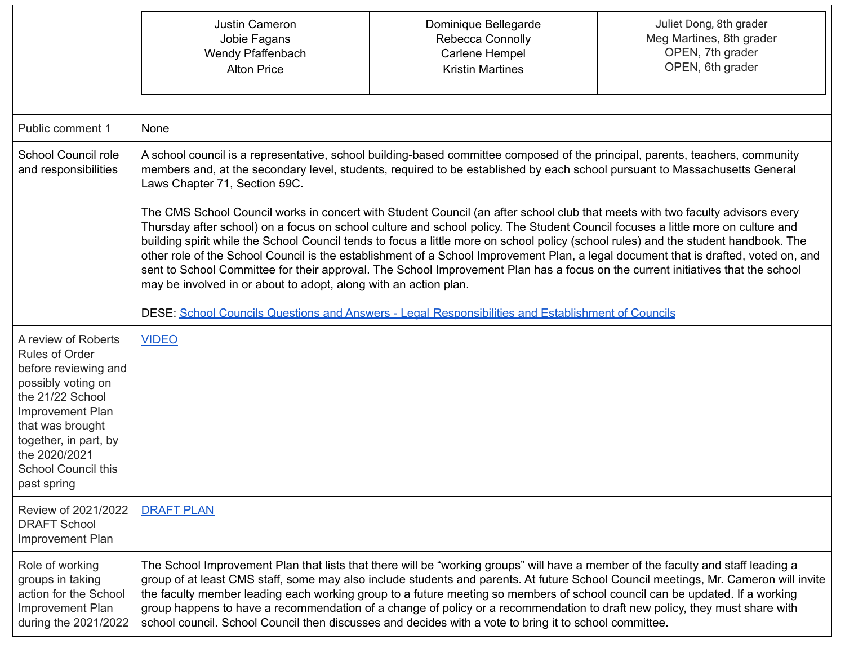|                                                                                                                                                                                                                                        | Justin Cameron<br>Jobie Fagans<br>Wendy Pfaffenbach<br><b>Alton Price</b>                                                                                                                                                                                                                                                                                                                                                                                                                                                                                                                                                                                                                                                                                                                                                                                                                                                                                                                                                                                                                                                                                   | Dominique Bellegarde<br>Rebecca Connolly<br>Carlene Hempel<br><b>Kristin Martines</b> | Juliet Dong, 8th grader<br>Meg Martines, 8th grader<br>OPEN, 7th grader<br>OPEN, 6th grader                                         |
|----------------------------------------------------------------------------------------------------------------------------------------------------------------------------------------------------------------------------------------|-------------------------------------------------------------------------------------------------------------------------------------------------------------------------------------------------------------------------------------------------------------------------------------------------------------------------------------------------------------------------------------------------------------------------------------------------------------------------------------------------------------------------------------------------------------------------------------------------------------------------------------------------------------------------------------------------------------------------------------------------------------------------------------------------------------------------------------------------------------------------------------------------------------------------------------------------------------------------------------------------------------------------------------------------------------------------------------------------------------------------------------------------------------|---------------------------------------------------------------------------------------|-------------------------------------------------------------------------------------------------------------------------------------|
| Public comment 1                                                                                                                                                                                                                       | None                                                                                                                                                                                                                                                                                                                                                                                                                                                                                                                                                                                                                                                                                                                                                                                                                                                                                                                                                                                                                                                                                                                                                        |                                                                                       |                                                                                                                                     |
| School Council role<br>and responsibilities                                                                                                                                                                                            | A school council is a representative, school building-based committee composed of the principal, parents, teachers, community<br>members and, at the secondary level, students, required to be established by each school pursuant to Massachusetts General<br>Laws Chapter 71, Section 59C.<br>The CMS School Council works in concert with Student Council (an after school club that meets with two faculty advisors every<br>Thursday after school) on a focus on school culture and school policy. The Student Council focuses a little more on culture and<br>building spirit while the School Council tends to focus a little more on school policy (school rules) and the student handbook. The<br>other role of the School Council is the establishment of a School Improvement Plan, a legal document that is drafted, voted on, and<br>sent to School Committee for their approval. The School Improvement Plan has a focus on the current initiatives that the school<br>may be involved in or about to adopt, along with an action plan.<br>DESE: School Councils Questions and Answers - Legal Responsibilities and Establishment of Councils |                                                                                       |                                                                                                                                     |
| A review of Roberts<br>Rules of Order<br>before reviewing and<br>possibly voting on<br>the 21/22 School<br>Improvement Plan<br>that was brought<br>together, in part, by<br>the 2020/2021<br><b>School Council this</b><br>past spring | <b>VIDEO</b>                                                                                                                                                                                                                                                                                                                                                                                                                                                                                                                                                                                                                                                                                                                                                                                                                                                                                                                                                                                                                                                                                                                                                |                                                                                       |                                                                                                                                     |
| Review of 2021/2022<br><b>DRAFT School</b><br><b>Improvement Plan</b>                                                                                                                                                                  | <b>DRAFT PLAN</b>                                                                                                                                                                                                                                                                                                                                                                                                                                                                                                                                                                                                                                                                                                                                                                                                                                                                                                                                                                                                                                                                                                                                           |                                                                                       |                                                                                                                                     |
| Role of working<br>groups in taking<br>action for the School<br>Improvement Plan<br>during the 2021/2022                                                                                                                               | The School Improvement Plan that lists that there will be "working groups" will have a member of the faculty and staff leading a<br>the faculty member leading each working group to a future meeting so members of school council can be updated. If a working<br>group happens to have a recommendation of a change of policy or a recommendation to draft new policy, they must share with<br>school council. School Council then discusses and decides with a vote to bring it to school committee.                                                                                                                                                                                                                                                                                                                                                                                                                                                                                                                                                                                                                                                     |                                                                                       | group of at least CMS staff, some may also include students and parents. At future School Council meetings, Mr. Cameron will invite |